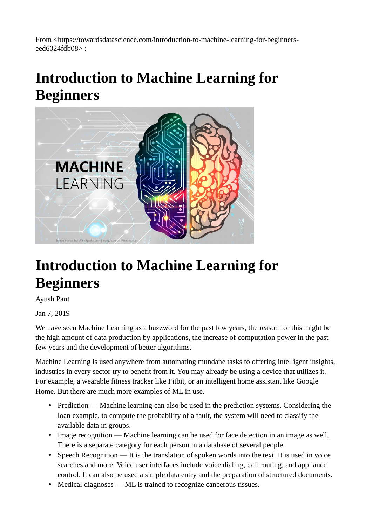From <https://towardsdatascience.com/introduction-to-machine-learning-for-beginnerseed6024fdb08> :

### **Introduction to Machine Learning for Beginners**



### **Introduction to Machine Learning for Beginners**

Ayush Pant

Jan 7, 2019

We have seen Machine Learning as a buzzword for the past few years, the reason for this might be the high amount of data production by applications, the increase of computation power in the past few years and the development of better algorithms.

Machine Learning is used anywhere from automating mundane tasks to offering intelligent insights, industries in every sector try to benefit from it. You may already be using a device that utilizes it. For example, a wearable fitness tracker like Fitbit, or an intelligent home assistant like Google Home. But there are much more examples of ML in use.

- Prediction Machine learning can also be used in the prediction systems. Considering the loan example, to compute the probability of a fault, the system will need to classify the available data in groups.
- Image recognition Machine learning can be used for face detection in an image as well. There is a separate category for each person in a database of several people.
- Speech Recognition It is the translation of spoken words into the text. It is used in voice searches and more. Voice user interfaces include voice dialing, call routing, and appliance control. It can also be used a simple data entry and the preparation of structured documents.
- Medical diagnoses ML is trained to recognize cancerous tissues.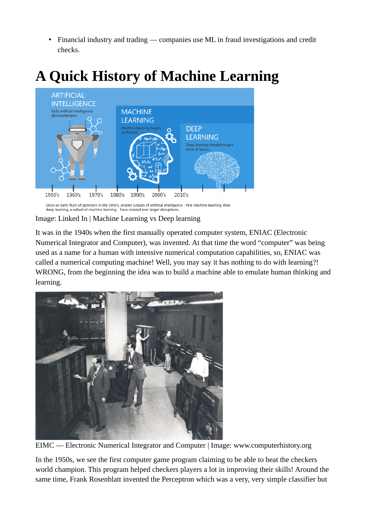• Financial industry and trading — companies use ML in fraud investigations and credit checks.



### **A Quick History of Machine Learning**

Since an early flush of optimism in the 1950's, smaller subsets of artificial intelligence - first machine learning, then<br>deep learning, a subset of machine learning - have created ever larger disruptions.

Image: Linked In | Machine Learning vs Deep learning

It was in the 1940s when the first manually operated computer system, ENIAC (Electronic Numerical Integrator and Computer), was invented. At that time the word "computer" was being used as a name for a human with intensive numerical computation capabilities, so, ENIAC was called a numerical computing machine! Well, you may say it has nothing to do with learning?! WRONG, from the beginning the idea was to build a machine able to emulate human thinking and learning.



EIMC — Electronic Numerical Integrator and Computer | Image: www.computerhistory.org

In the 1950s, we see the first computer game program claiming to be able to beat the checkers world champion. This program helped checkers players a lot in improving their skills! Around the same time, Frank Rosenblatt invented the Perceptron which was a very, very simple classifier but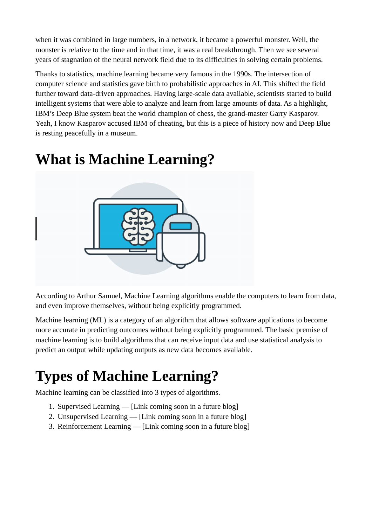when it was combined in large numbers, in a network, it became a powerful monster. Well, the monster is relative to the time and in that time, it was a real breakthrough. Then we see several years of stagnation of the neural network field due to its difficulties in solving certain problems.

Thanks to statistics, machine learning became very famous in the 1990s. The intersection of computer science and statistics gave birth to probabilistic approaches in AI. This shifted the field further toward data-driven approaches. Having large-scale data available, scientists started to build intelligent systems that were able to analyze and learn from large amounts of data. As a highlight, IBM's Deep Blue system beat the world champion of chess, the grand-master Garry Kasparov. Yeah, I know Kasparov accused IBM of cheating, but this is a piece of history now and Deep Blue is resting peacefully in a museum.

### **What is Machine Learning?**



According to Arthur Samuel, Machine Learning algorithms enable the computers to learn from data, and even improve themselves, without being explicitly programmed.

Machine learning (ML) is a category of an algorithm that allows software applications to become more accurate in predicting outcomes without being explicitly programmed. The basic premise of machine learning is to build algorithms that can receive input data and use statistical analysis to predict an output while updating outputs as new data becomes available.

# **Types of Machine Learning?**

Machine learning can be classified into 3 types of algorithms.

- 1. Supervised Learning [Link coming soon in a future blog]
- 2. Unsupervised Learning [Link coming soon in a future blog]
- 3. Reinforcement Learning [Link coming soon in a future blog]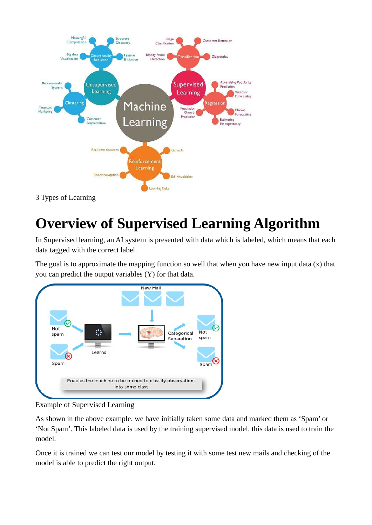

3 Types of Learning

## **Overview of Supervised Learning Algorithm**

In Supervised learning, an AI system is presented with data which is labeled, which means that each data tagged with the correct label.

The goal is to approximate the mapping function so well that when you have new input data (x) that you can predict the output variables (Y) for that data.



Example of Supervised Learning

As shown in the above example, we have initially taken some data and marked them as 'Spam' or 'Not Spam'. This labeled data is used by the training supervised model, this data is used to train the model.

Once it is trained we can test our model by testing it with some test new mails and checking of the model is able to predict the right output.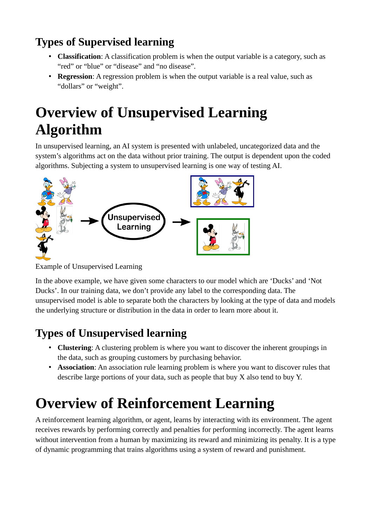#### **Types of Supervised learning**

- **Classification**: A classification problem is when the output variable is a category, such as "red" or "blue" or "disease" and "no disease".
- **Regression**: A regression problem is when the output variable is a real value, such as "dollars" or "weight".

## **Overview of Unsupervised Learning Algorithm**

In unsupervised learning, an AI system is presented with unlabeled, uncategorized data and the system's algorithms act on the data without prior training. The output is dependent upon the coded algorithms. Subjecting a system to unsupervised learning is one way of testing AI.



Example of Unsupervised Learning

In the above example, we have given some characters to our model which are 'Ducks' and 'Not Ducks'. In our training data, we don't provide any label to the corresponding data. The unsupervised model is able to separate both the characters by looking at the type of data and models the underlying structure or distribution in the data in order to learn more about it.

#### **Types of Unsupervised learning**

- **Clustering**: A clustering problem is where you want to discover the inherent groupings in the data, such as grouping customers by purchasing behavior.
- **Association**: An association rule learning problem is where you want to discover rules that describe large portions of your data, such as people that buy X also tend to buy Y.

# **Overview of Reinforcement Learning**

A reinforcement learning algorithm, or agent, learns by interacting with its environment. The agent receives rewards by performing correctly and penalties for performing incorrectly. The agent learns without intervention from a human by maximizing its reward and minimizing its penalty. It is a type of dynamic programming that trains algorithms using a system of reward and punishment.